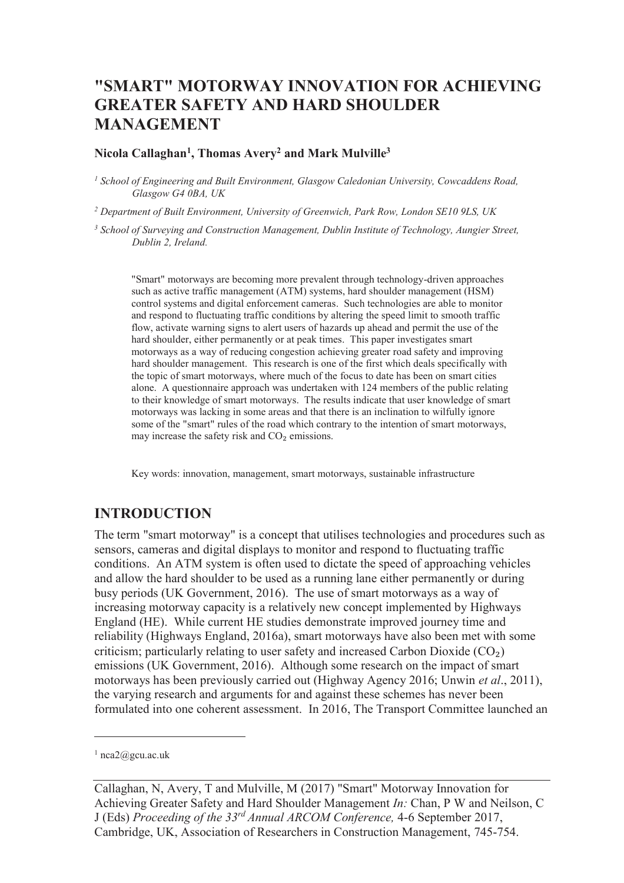# **"SMART" MOTORWAY INNOVATION FOR ACHIEVING GREATER SAFETY AND HARD SHOULDER MANAGEMENT**

#### **Nicola Callaghan<sup>1</sup> , Thomas Avery<sup>2</sup> and Mark Mulville<sup>3</sup>**

<sup>1</sup> School of Engineering and Built Environment, Glasgow Caledonian University, Cowcaddens Road, *Glasgow G4 0BA, UK* 

<sup>2</sup> Department of Built Environment, University of Greenwich, Park Row, London SE10 9LS, UK

*3 School of Surveying and Construction Management, Dublin Institute of Technology, Aungier Street, Dublin 2, Ireland.* 

"Smart" motorways are becoming more prevalent through technology-driven approaches such as active traffic management (ATM) systems, hard shoulder management (HSM) control systems and digital enforcement cameras. Such technologies are able to monitor and respond to fluctuating traffic conditions by altering the speed limit to smooth traffic flow, activate warning signs to alert users of hazards up ahead and permit the use of the hard shoulder, either permanently or at peak times. This paper investigates smart motorways as a way of reducing congestion achieving greater road safety and improving hard shoulder management. This research is one of the first which deals specifically with the topic of smart motorways, where much of the focus to date has been on smart cities alone. A questionnaire approach was undertaken with 124 members of the public relating to their knowledge of smart motorways. The results indicate that user knowledge of smart motorways was lacking in some areas and that there is an inclination to wilfully ignore some of the "smart" rules of the road which contrary to the intention of smart motorways, may increase the safety risk and  $CO<sub>2</sub>$  emissions.

Key words: innovation, management, smart motorways, sustainable infrastructure

#### **INTRODUCTION**

The term "smart motorway" is a concept that utilises technologies and procedures such as sensors, cameras and digital displays to monitor and respond to fluctuating traffic conditions. An ATM system is often used to dictate the speed of approaching vehicles and allow the hard shoulder to be used as a running lane either permanently or during busy periods (UK Government, 2016). The use of smart motorways as a way of increasing motorway capacity is a relatively new concept implemented by Highways England (HE). While current HE studies demonstrate improved journey time and reliability (Highways England, 2016a), smart motorways have also been met with some criticism; particularly relating to user safety and increased Carbon Dioxide  $(CO<sub>2</sub>)$ emissions (UK Government, 2016). Although some research on the impact of smart motorways has been previously carried out (Highway Agency 2016; Unwin *et al*., 2011), the varying research and arguments for and against these schemes has never been formulated into one coherent assessment. In 2016, The Transport Committee launched an

-

<sup>1</sup> nca2@gcu.ac.uk

Callaghan, N, Avery, T and Mulville, M (2017) "Smart" Motorway Innovation for Achieving Greater Safety and Hard Shoulder Management *In:* Chan, P W and Neilson, C J (Eds) *Proceeding of the 33rd Annual ARCOM Conference,* 4-6 September 2017, Cambridge, UK, Association of Researchers in Construction Management, 745-754.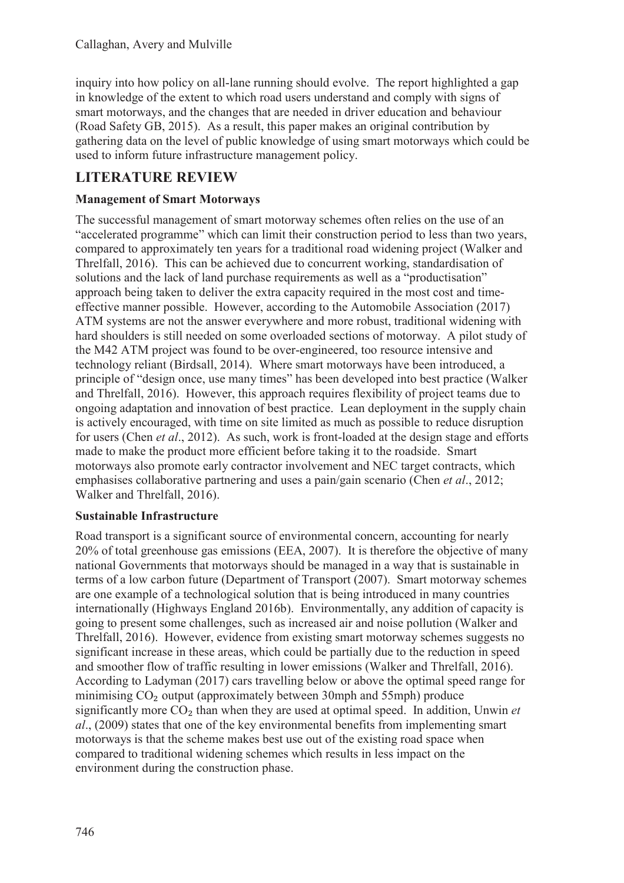inquiry into how policy on all-lane running should evolve. The report highlighted a gap in knowledge of the extent to which road users understand and comply with signs of smart motorways, and the changes that are needed in driver education and behaviour (Road Safety GB, 2015). As a result, this paper makes an original contribution by gathering data on the level of public knowledge of using smart motorways which could be used to inform future infrastructure management policy.

## **LITERATURE REVIEW**

### **Management of Smart Motorways**

The successful management of smart motorway schemes often relies on the use of an "accelerated programme" which can limit their construction period to less than two years, compared to approximately ten years for a traditional road widening project (Walker and Threlfall, 2016). This can be achieved due to concurrent working, standardisation of solutions and the lack of land purchase requirements as well as a "productisation" approach being taken to deliver the extra capacity required in the most cost and timeeffective manner possible. However, according to the Automobile Association (2017) ATM systems are not the answer everywhere and more robust, traditional widening with hard shoulders is still needed on some overloaded sections of motorway. A pilot study of the M42 ATM project was found to be over-engineered, too resource intensive and technology reliant (Birdsall, 2014). Where smart motorways have been introduced, a principle of "design once, use many times" has been developed into best practice (Walker and Threlfall, 2016). However, this approach requires flexibility of project teams due to ongoing adaptation and innovation of best practice. Lean deployment in the supply chain is actively encouraged, with time on site limited as much as possible to reduce disruption for users (Chen *et al*., 2012). As such, work is front-loaded at the design stage and efforts made to make the product more efficient before taking it to the roadside. Smart motorways also promote early contractor involvement and NEC target contracts, which emphasises collaborative partnering and uses a pain/gain scenario (Chen *et al*., 2012; Walker and Threlfall, 2016).

#### **Sustainable Infrastructure**

Road transport is a significant source of environmental concern, accounting for nearly 20% of total greenhouse gas emissions (EEA, 2007). It is therefore the objective of many national Governments that motorways should be managed in a way that is sustainable in terms of a low carbon future (Department of Transport (2007). Smart motorway schemes are one example of a technological solution that is being introduced in many countries internationally (Highways England 2016b). Environmentally, any addition of capacity is going to present some challenges, such as increased air and noise pollution (Walker and Threlfall, 2016). However, evidence from existing smart motorway schemes suggests no significant increase in these areas, which could be partially due to the reduction in speed and smoother flow of traffic resulting in lower emissions (Walker and Threlfall, 2016). According to Ladyman (2017) cars travelling below or above the optimal speed range for minimising  $CO<sub>2</sub>$  output (approximately between 30mph and 55mph) produce significantly more CO<sub>2</sub> than when they are used at optimal speed. In addition, Unwin *et al*., (2009) states that one of the key environmental benefits from implementing smart motorways is that the scheme makes best use out of the existing road space when compared to traditional widening schemes which results in less impact on the environment during the construction phase.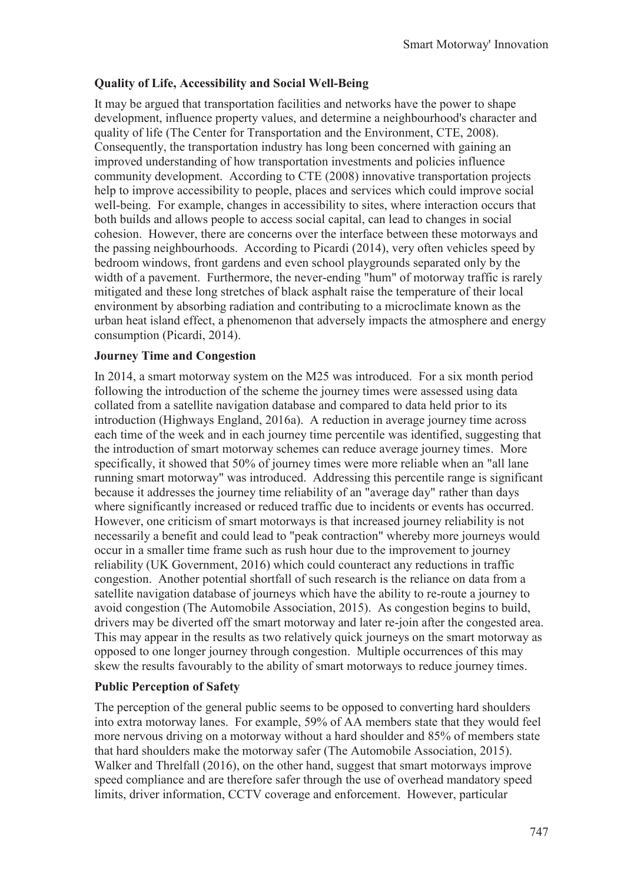## **Quality of Life, Accessibility and Social Well-Being**

It may be argued that transportation facilities and networks have the power to shape development, influence property values, and determine a neighbourhood's character and quality of life (The Center for Transportation and the Environment, CTE, 2008). Consequently, the transportation industry has long been concerned with gaining an improved understanding of how transportation investments and policies influence community development. According to CTE (2008) innovative transportation projects help to improve accessibility to people, places and services which could improve social well-being. For example, changes in accessibility to sites, where interaction occurs that both builds and allows people to access social capital, can lead to changes in social cohesion. However, there are concerns over the interface between these motorways and the passing neighbourhoods. According to Picardi (2014), very often vehicles speed by bedroom windows, front gardens and even school playgrounds separated only by the width of a pavement. Furthermore, the never-ending "hum" of motorway traffic is rarely mitigated and these long stretches of black asphalt raise the temperature of their local environment by absorbing radiation and contributing to a microclimate known as the urban heat island effect, a phenomenon that adversely impacts the atmosphere and energy consumption (Picardi, 2014).

### **Journey Time and Congestion**

In 2014, a smart motorway system on the M25 was introduced. For a six month period following the introduction of the scheme the journey times were assessed using data collated from a satellite navigation database and compared to data held prior to its introduction (Highways England, 2016a). A reduction in average journey time across each time of the week and in each journey time percentile was identified, suggesting that the introduction of smart motorway schemes can reduce average journey times. More specifically, it showed that 50% of journey times were more reliable when an "all lane running smart motorway" was introduced. Addressing this percentile range is significant because it addresses the journey time reliability of an "average day" rather than days where significantly increased or reduced traffic due to incidents or events has occurred. However, one criticism of smart motorways is that increased journey reliability is not necessarily a benefit and could lead to "peak contraction" whereby more journeys would occur in a smaller time frame such as rush hour due to the improvement to journey reliability (UK Government, 2016) which could counteract any reductions in traffic congestion. Another potential shortfall of such research is the reliance on data from a satellite navigation database of journeys which have the ability to re-route a journey to avoid congestion (The Automobile Association, 2015). As congestion begins to build, drivers may be diverted off the smart motorway and later re-join after the congested area. This may appear in the results as two relatively quick journeys on the smart motorway as opposed to one longer journey through congestion. Multiple occurrences of this may skew the results favourably to the ability of smart motorways to reduce journey times.

## **Public Perception of Safety**

The perception of the general public seems to be opposed to converting hard shoulders into extra motorway lanes. For example, 59% of AA members state that they would feel more nervous driving on a motorway without a hard shoulder and 85% of members state that hard shoulders make the motorway safer (The Automobile Association, 2015). Walker and Threlfall (2016), on the other hand, suggest that smart motorways improve speed compliance and are therefore safer through the use of overhead mandatory speed limits, driver information, CCTV coverage and enforcement. However, particular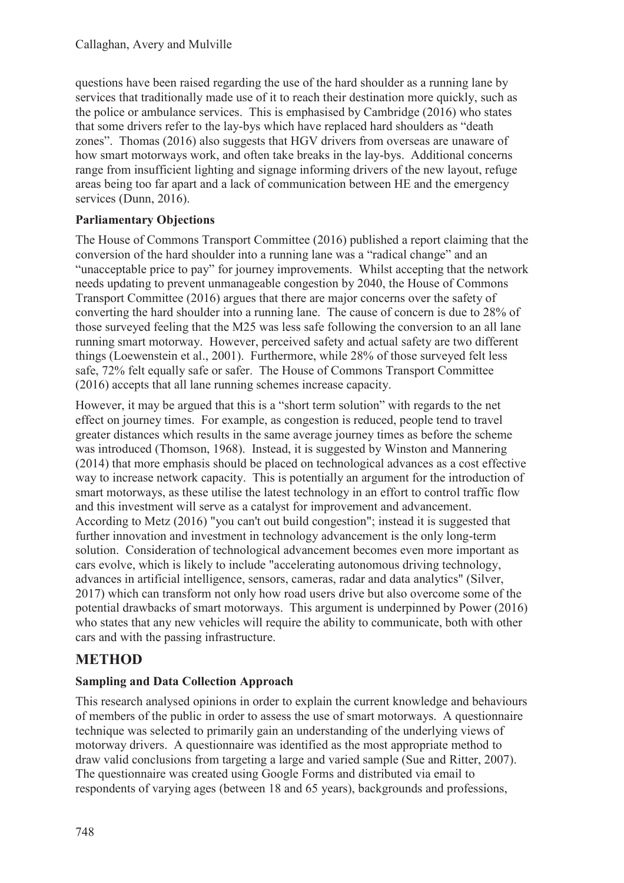questions have been raised regarding the use of the hard shoulder as a running lane by services that traditionally made use of it to reach their destination more quickly, such as the police or ambulance services. This is emphasised by Cambridge (2016) who states that some drivers refer to the lay-bys which have replaced hard shoulders as "death zones". Thomas (2016) also suggests that HGV drivers from overseas are unaware of how smart motorways work, and often take breaks in the lay-bys. Additional concerns range from insufficient lighting and signage informing drivers of the new layout, refuge areas being too far apart and a lack of communication between HE and the emergency services (Dunn, 2016).

### **Parliamentary Objections**

The House of Commons Transport Committee (2016) published a report claiming that the conversion of the hard shoulder into a running lane was a "radical change" and an "unacceptable price to pay" for journey improvements. Whilst accepting that the network needs updating to prevent unmanageable congestion by 2040, the House of Commons Transport Committee (2016) argues that there are major concerns over the safety of converting the hard shoulder into a running lane. The cause of concern is due to 28% of those surveyed feeling that the M25 was less safe following the conversion to an all lane running smart motorway. However, perceived safety and actual safety are two different things (Loewenstein et al., 2001). Furthermore, while 28% of those surveyed felt less safe, 72% felt equally safe or safer. The House of Commons Transport Committee (2016) accepts that all lane running schemes increase capacity.

However, it may be argued that this is a "short term solution" with regards to the net effect on journey times. For example, as congestion is reduced, people tend to travel greater distances which results in the same average journey times as before the scheme was introduced (Thomson, 1968). Instead, it is suggested by Winston and Mannering (2014) that more emphasis should be placed on technological advances as a cost effective way to increase network capacity. This is potentially an argument for the introduction of smart motorways, as these utilise the latest technology in an effort to control traffic flow and this investment will serve as a catalyst for improvement and advancement. According to Metz (2016) "you can't out build congestion"; instead it is suggested that further innovation and investment in technology advancement is the only long-term solution. Consideration of technological advancement becomes even more important as cars evolve, which is likely to include "accelerating autonomous driving technology, advances in artificial intelligence, sensors, cameras, radar and data analytics" (Silver, 2017) which can transform not only how road users drive but also overcome some of the potential drawbacks of smart motorways. This argument is underpinned by Power (2016) who states that any new vehicles will require the ability to communicate, both with other cars and with the passing infrastructure.

## **METHOD**

#### **Sampling and Data Collection Approach**

This research analysed opinions in order to explain the current knowledge and behaviours of members of the public in order to assess the use of smart motorways. A questionnaire technique was selected to primarily gain an understanding of the underlying views of motorway drivers. A questionnaire was identified as the most appropriate method to draw valid conclusions from targeting a large and varied sample (Sue and Ritter, 2007). The questionnaire was created using Google Forms and distributed via email to respondents of varying ages (between 18 and 65 years), backgrounds and professions,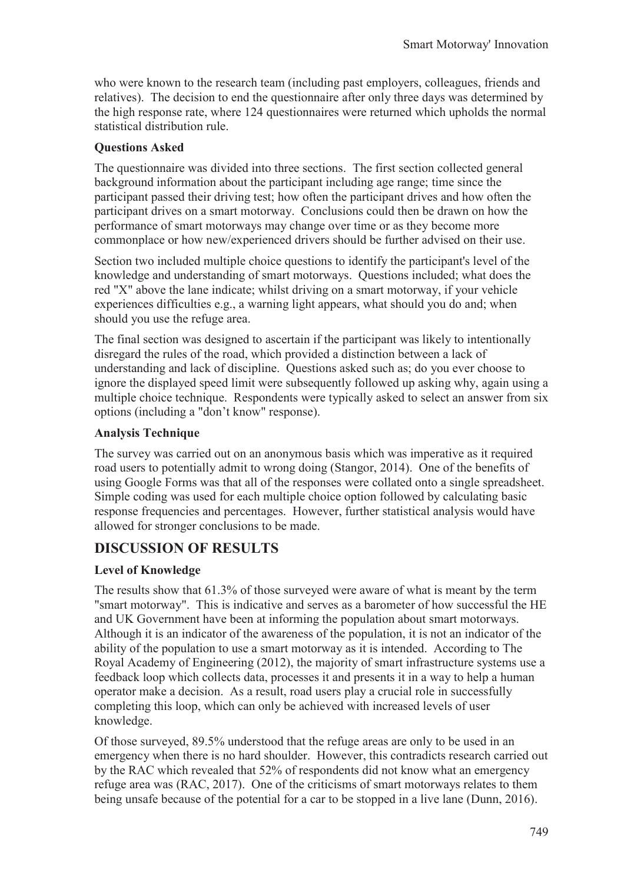who were known to the research team (including past employers, colleagues, friends and relatives). The decision to end the questionnaire after only three days was determined by the high response rate, where 124 questionnaires were returned which upholds the normal statistical distribution rule.

## **Questions Asked**

The questionnaire was divided into three sections. The first section collected general background information about the participant including age range; time since the participant passed their driving test; how often the participant drives and how often the participant drives on a smart motorway. Conclusions could then be drawn on how the performance of smart motorways may change over time or as they become more commonplace or how new/experienced drivers should be further advised on their use.

Section two included multiple choice questions to identify the participant's level of the knowledge and understanding of smart motorways. Questions included; what does the red "X" above the lane indicate; whilst driving on a smart motorway, if your vehicle experiences difficulties e.g., a warning light appears, what should you do and; when should you use the refuge area.

The final section was designed to ascertain if the participant was likely to intentionally disregard the rules of the road, which provided a distinction between a lack of understanding and lack of discipline. Questions asked such as; do you ever choose to ignore the displayed speed limit were subsequently followed up asking why, again using a multiple choice technique. Respondents were typically asked to select an answer from six options (including a "don't know" response).

## **Analysis Technique**

The survey was carried out on an anonymous basis which was imperative as it required road users to potentially admit to wrong doing (Stangor, 2014). One of the benefits of using Google Forms was that all of the responses were collated onto a single spreadsheet. Simple coding was used for each multiple choice option followed by calculating basic response frequencies and percentages. However, further statistical analysis would have allowed for stronger conclusions to be made.

# **DISCUSSION OF RESULTS**

## **Level of Knowledge**

The results show that 61.3% of those surveyed were aware of what is meant by the term "smart motorway". This is indicative and serves as a barometer of how successful the HE and UK Government have been at informing the population about smart motorways. Although it is an indicator of the awareness of the population, it is not an indicator of the ability of the population to use a smart motorway as it is intended. According to The Royal Academy of Engineering (2012), the majority of smart infrastructure systems use a feedback loop which collects data, processes it and presents it in a way to help a human operator make a decision. As a result, road users play a crucial role in successfully completing this loop, which can only be achieved with increased levels of user knowledge.

Of those surveyed, 89.5% understood that the refuge areas are only to be used in an emergency when there is no hard shoulder. However, this contradicts research carried out by the RAC which revealed that 52% of respondents did not know what an emergency refuge area was (RAC, 2017). One of the criticisms of smart motorways relates to them being unsafe because of the potential for a car to be stopped in a live lane (Dunn, 2016).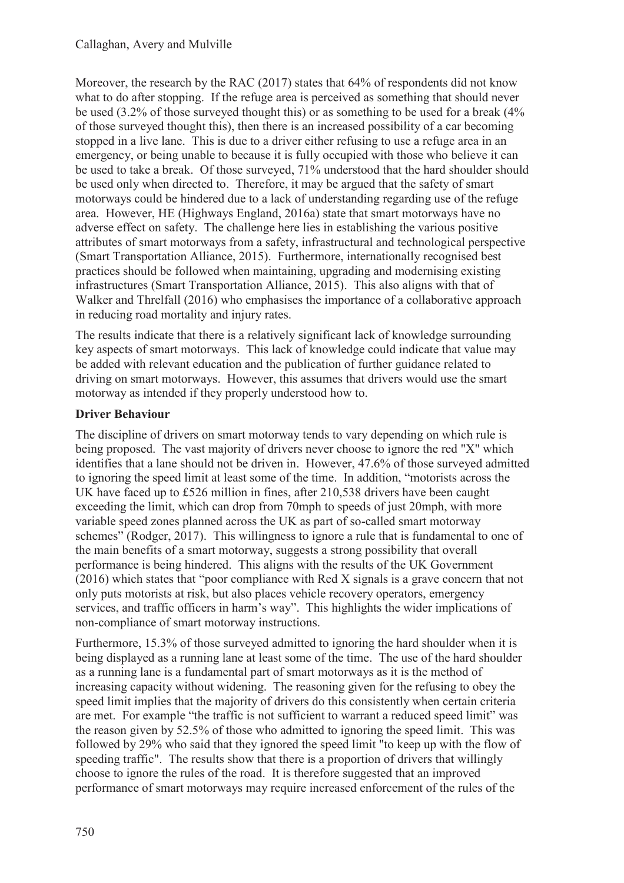Moreover, the research by the RAC (2017) states that 64% of respondents did not know what to do after stopping. If the refuge area is perceived as something that should never be used (3.2% of those surveyed thought this) or as something to be used for a break (4% of those surveyed thought this), then there is an increased possibility of a car becoming stopped in a live lane. This is due to a driver either refusing to use a refuge area in an emergency, or being unable to because it is fully occupied with those who believe it can be used to take a break. Of those surveyed, 71% understood that the hard shoulder should be used only when directed to. Therefore, it may be argued that the safety of smart motorways could be hindered due to a lack of understanding regarding use of the refuge area. However, HE (Highways England, 2016a) state that smart motorways have no adverse effect on safety. The challenge here lies in establishing the various positive attributes of smart motorways from a safety, infrastructural and technological perspective (Smart Transportation Alliance, 2015). Furthermore, internationally recognised best practices should be followed when maintaining, upgrading and modernising existing infrastructures (Smart Transportation Alliance, 2015). This also aligns with that of Walker and Threlfall (2016) who emphasises the importance of a collaborative approach in reducing road mortality and injury rates.

The results indicate that there is a relatively significant lack of knowledge surrounding key aspects of smart motorways. This lack of knowledge could indicate that value may be added with relevant education and the publication of further guidance related to driving on smart motorways. However, this assumes that drivers would use the smart motorway as intended if they properly understood how to.

### **Driver Behaviour**

The discipline of drivers on smart motorway tends to vary depending on which rule is being proposed. The vast majority of drivers never choose to ignore the red "X" which identifies that a lane should not be driven in. However, 47.6% of those surveyed admitted to ignoring the speed limit at least some of the time. In addition, "motorists across the UK have faced up to £526 million in fines, after 210,538 drivers have been caught exceeding the limit, which can drop from 70mph to speeds of just 20mph, with more variable speed zones planned across the UK as part of so-called smart motorway schemes" (Rodger, 2017). This willingness to ignore a rule that is fundamental to one of the main benefits of a smart motorway, suggests a strong possibility that overall performance is being hindered. This aligns with the results of the UK Government (2016) which states that "poor compliance with Red X signals is a grave concern that not only puts motorists at risk, but also places vehicle recovery operators, emergency services, and traffic officers in harm's way". This highlights the wider implications of non-compliance of smart motorway instructions.

Furthermore, 15.3% of those surveyed admitted to ignoring the hard shoulder when it is being displayed as a running lane at least some of the time. The use of the hard shoulder as a running lane is a fundamental part of smart motorways as it is the method of increasing capacity without widening. The reasoning given for the refusing to obey the speed limit implies that the majority of drivers do this consistently when certain criteria are met. For example "the traffic is not sufficient to warrant a reduced speed limit" was the reason given by 52.5% of those who admitted to ignoring the speed limit. This was followed by 29% who said that they ignored the speed limit "to keep up with the flow of speeding traffic". The results show that there is a proportion of drivers that willingly choose to ignore the rules of the road. It is therefore suggested that an improved performance of smart motorways may require increased enforcement of the rules of the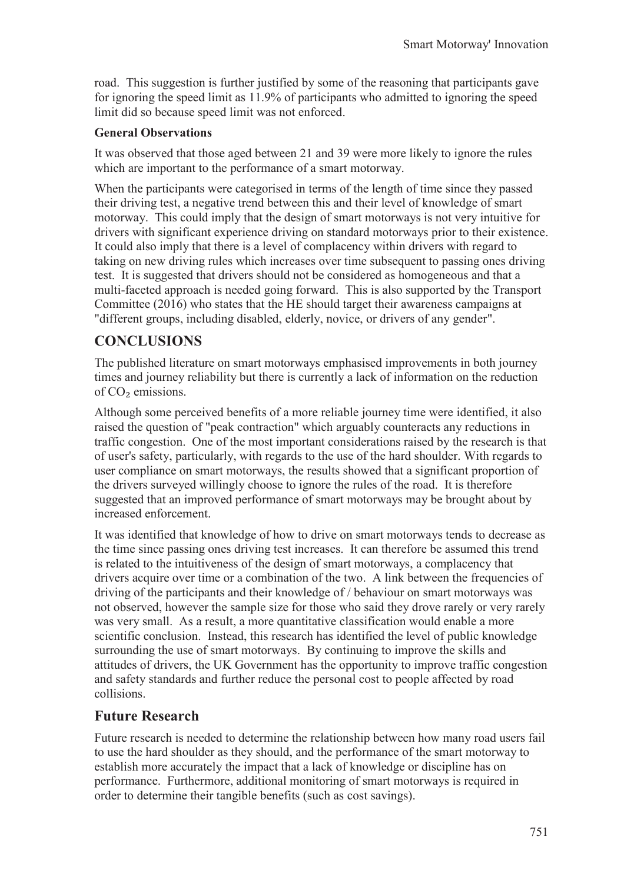road. This suggestion is further justified by some of the reasoning that participants gave for ignoring the speed limit as 11.9% of participants who admitted to ignoring the speed limit did so because speed limit was not enforced.

### **General Observations**

It was observed that those aged between 21 and 39 were more likely to ignore the rules which are important to the performance of a smart motorway.

When the participants were categorised in terms of the length of time since they passed their driving test, a negative trend between this and their level of knowledge of smart motorway. This could imply that the design of smart motorways is not very intuitive for drivers with significant experience driving on standard motorways prior to their existence. It could also imply that there is a level of complacency within drivers with regard to taking on new driving rules which increases over time subsequent to passing ones driving test. It is suggested that drivers should not be considered as homogeneous and that a multi-faceted approach is needed going forward. This is also supported by the Transport Committee (2016) who states that the HE should target their awareness campaigns at "different groups, including disabled, elderly, novice, or drivers of any gender".

# **CONCLUSIONS**

The published literature on smart motorways emphasised improvements in both journey times and journey reliability but there is currently a lack of information on the reduction of CO<sub>2</sub> emissions.

Although some perceived benefits of a more reliable journey time were identified, it also raised the question of "peak contraction" which arguably counteracts any reductions in traffic congestion. One of the most important considerations raised by the research is that of user's safety, particularly, with regards to the use of the hard shoulder. With regards to user compliance on smart motorways, the results showed that a significant proportion of the drivers surveyed willingly choose to ignore the rules of the road. It is therefore suggested that an improved performance of smart motorways may be brought about by increased enforcement.

It was identified that knowledge of how to drive on smart motorways tends to decrease as the time since passing ones driving test increases. It can therefore be assumed this trend is related to the intuitiveness of the design of smart motorways, a complacency that drivers acquire over time or a combination of the two. A link between the frequencies of driving of the participants and their knowledge of / behaviour on smart motorways was not observed, however the sample size for those who said they drove rarely or very rarely was very small. As a result, a more quantitative classification would enable a more scientific conclusion. Instead, this research has identified the level of public knowledge surrounding the use of smart motorways. By continuing to improve the skills and attitudes of drivers, the UK Government has the opportunity to improve traffic congestion and safety standards and further reduce the personal cost to people affected by road collisions.

## **Future Research**

Future research is needed to determine the relationship between how many road users fail to use the hard shoulder as they should, and the performance of the smart motorway to establish more accurately the impact that a lack of knowledge or discipline has on performance. Furthermore, additional monitoring of smart motorways is required in order to determine their tangible benefits (such as cost savings).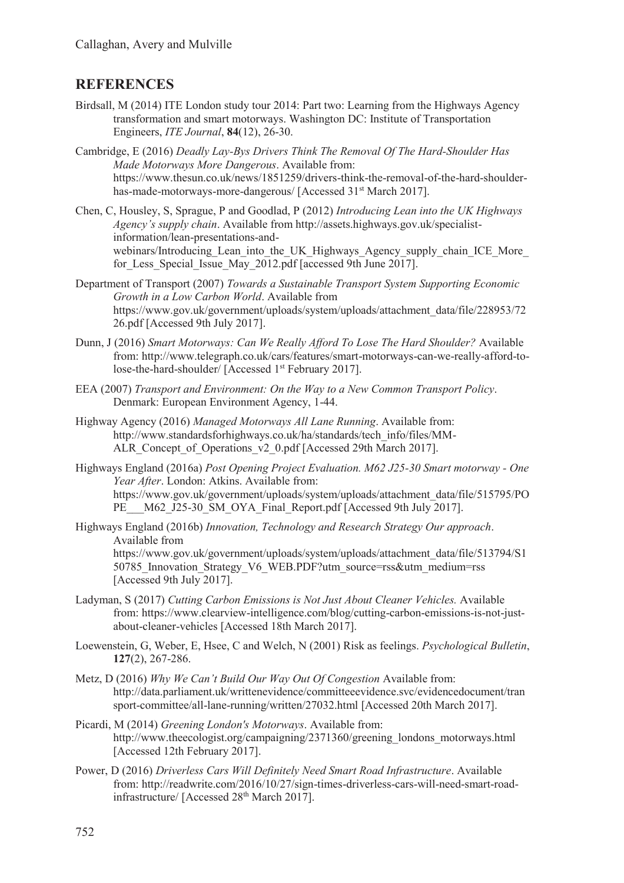## **REFERENCES**

- Birdsall, M (2014) ITE London study tour 2014: Part two: Learning from the Highways Agency transformation and smart motorways. Washington DC: Institute of Transportation Engineers, *ITE Journal*, **84**(12), 26-30.
- Cambridge, E (2016) *Deadly Lay-Bys Drivers Think The Removal Of The Hard-Shoulder Has Made Motorways More Dangerous*. Available from: https://www.thesun.co.uk/news/1851259/drivers-think-the-removal-of-the-hard-shoulderhas-made-motorways-more-dangerous/ [Accessed 31<sup>st</sup> March 2017].
- Chen, C, Housley, S, Sprague, P and Goodlad, P (2012) *Introducing Lean into the UK Highways Agency's supply chain*. Available from http://assets.highways.gov.uk/specialistinformation/lean-presentations-andwebinars/Introducing\_Lean\_into\_the\_UK\_Highways\_Agency\_supply\_chain\_ICE\_More for Less Special Issue May 2012.pdf [accessed 9th June 2017].
- Department of Transport (2007) *Towards a Sustainable Transport System Supporting Economic Growth in a Low Carbon World*. Available from https://www.gov.uk/government/uploads/system/uploads/attachment\_data/file/228953/72 26.pdf [Accessed 9th July 2017].
- Dunn, J (2016) *Smart Motorways: Can We Really Afford To Lose The Hard Shoulder?* Available from: http://www.telegraph.co.uk/cars/features/smart-motorways-can-we-really-afford-tolose-the-hard-shoulder/ [Accessed 1<sup>st</sup> February 2017].
- EEA (2007) *Transport and Environment: On the Way to a New Common Transport Policy*. Denmark: European Environment Agency, 1-44.
- Highway Agency (2016) *Managed Motorways All Lane Running*. Available from: http://www.standardsforhighways.co.uk/ha/standards/tech\_info/files/MM-ALR\_Concept\_of\_Operations\_v2\_0.pdf [Accessed 29th March 2017].
- Highways England (2016a) *Post Opening Project Evaluation. M62 J25-30 Smart motorway One Year After*. London: Atkins. Available from: https://www.gov.uk/government/uploads/system/uploads/attachment\_data/file/515795/PO PE\_\_M62\_J25-30\_SM\_OYA\_Final\_Report.pdf [Accessed 9th July 2017].
- Highways England (2016b) *Innovation, Technology and Research Strategy Our approach*. Available from https://www.gov.uk/government/uploads/system/uploads/attachment\_data/file/513794/S1 50785 Innovation Strategy V6 WEB.PDF?utm source=rss&utm\_medium=rss [Accessed 9th July 2017].
- Ladyman, S (2017) *Cutting Carbon Emissions is Not Just About Cleaner Vehicles.* Available from: https://www.clearview-intelligence.com/blog/cutting-carbon-emissions-is-not-justabout-cleaner-vehicles [Accessed 18th March 2017].
- Loewenstein, G, Weber, E, Hsee, C and Welch, N (2001) Risk as feelings. *Psychological Bulletin*, **127**(2), 267-286.
- Metz, D (2016) *Why We Can't Build Our Way Out Of Congestion* Available from: http://data.parliament.uk/writtenevidence/committeeevidence.svc/evidencedocument/tran sport-committee/all-lane-running/written/27032.html [Accessed 20th March 2017].
- Picardi, M (2014) *Greening London's Motorways*. Available from: http://www.theecologist.org/campaigning/2371360/greening\_londons\_motorways.html [Accessed 12th February 2017].
- Power, D (2016) *Driverless Cars Will Definitely Need Smart Road Infrastructure*. Available from: http://readwrite.com/2016/10/27/sign-times-driverless-cars-will-need-smart-roadinfrastructure/ [Accessed 28<sup>th</sup> March 2017].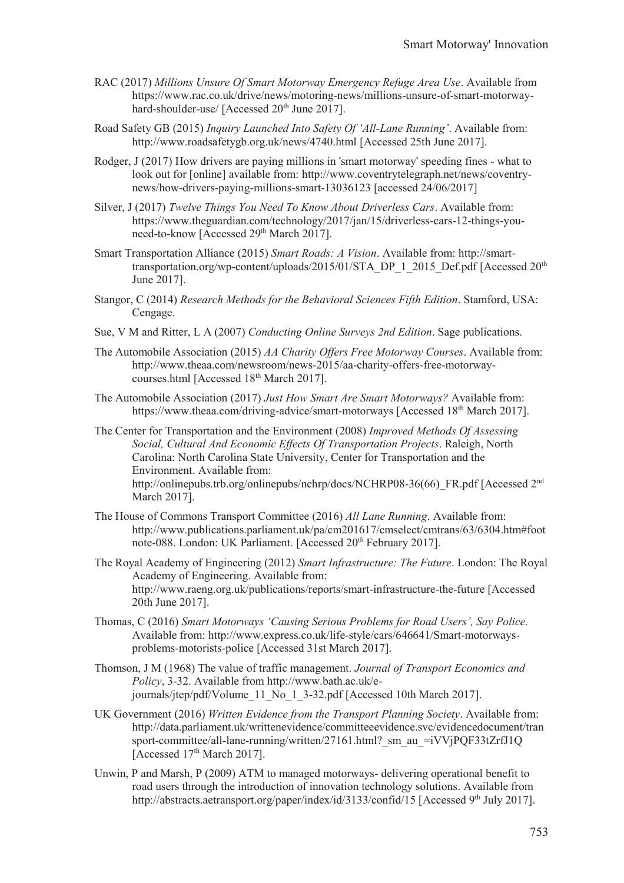- RAC (2017) *Millions Unsure Of Smart Motorway Emergency Refuge Area Use*. Available from https://www.rac.co.uk/drive/news/motoring-news/millions-unsure-of-smart-motorwayhard-shoulder-use/ [Accessed 20<sup>th</sup> June 2017].
- Road Safety GB (2015) *Inquiry Launched Into Safety Of 'All-Lane Running'*. Available from: http://www.roadsafetygb.org.uk/news/4740.html [Accessed 25th June 2017].
- Rodger, J (2017) How drivers are paying millions in 'smart motorway' speeding fines what to look out for [online] available from: http://www.coventrytelegraph.net/news/coventrynews/how-drivers-paying-millions-smart-13036123 [accessed 24/06/2017]
- Silver, J (2017) *Twelve Things You Need To Know About Driverless Cars*. Available from: https://www.theguardian.com/technology/2017/jan/15/driverless-cars-12-things-youneed-to-know [Accessed 29<sup>th</sup> March 2017].
- Smart Transportation Alliance (2015) *Smart Roads: A Vision*. Available from: http://smarttransportation.org/wp-content/uploads/2015/01/STA\_DP\_1\_2015\_Def.pdf [Accessed 20<sup>th</sup> June 2017].
- Stangor, C (2014) *Research Methods for the Behavioral Sciences Fifth Edition*. Stamford, USA: Cengage.
- Sue, V M and Ritter, L A (2007) *Conducting Online Surveys 2nd Edition*. Sage publications.
- The Automobile Association (2015) *AA Charity Offers Free Motorway Courses*. Available from: http://www.theaa.com/newsroom/news-2015/aa-charity-offers-free-motorwaycourses.html [Accessed 18<sup>th</sup> March 2017].
- The Automobile Association (2017) *Just How Smart Are Smart Motorways?* Available from: https://www.theaa.com/driving-advice/smart-motorways [Accessed 18<sup>th</sup> March 2017].
- The Center for Transportation and the Environment (2008) *Improved Methods Of Assessing Social, Cultural And Economic Effects Of Transportation Projects*. Raleigh, North Carolina: North Carolina State University, Center for Transportation and the Environment. Available from: http://onlinepubs.trb.org/onlinepubs/nchrp/docs/NCHRP08-36(66)\_FR.pdf [Accessed 2nd March 2017].
- The House of Commons Transport Committee (2016) *All Lane Running*. Available from: http://www.publications.parliament.uk/pa/cm201617/cmselect/cmtrans/63/6304.htm#foot note-088. London: UK Parliament. [Accessed 20<sup>th</sup> February 2017].
- The Royal Academy of Engineering (2012) *Smart Infrastructure: The Future*. London: The Royal Academy of Engineering. Available from: http://www.raeng.org.uk/publications/reports/smart-infrastructure-the-future [Accessed 20th June 2017].
- Thomas, C (2016) *Smart Motorways 'Causing Serious Problems for Road Users', Say Police.* Available from: http://www.express.co.uk/life-style/cars/646641/Smart-motorwaysproblems-motorists-police [Accessed 31st March 2017].
- Thomson, J M (1968) The value of traffic management. *Journal of Transport Economics and Policy*, 3-32. Available from http://www.bath.ac.uk/ejournals/jtep/pdf/Volume\_11\_No\_1\_3-32.pdf [Accessed 10th March 2017].
- UK Government (2016) *Written Evidence from the Transport Planning Society*. Available from: http://data.parliament.uk/writtenevidence/committeeevidence.svc/evidencedocument/tran sport-committee/all-lane-running/written/27161.html? sm\_au\_=iVVjPQF33tZrfJ1Q [Accessed 17<sup>th</sup> March 2017].
- Unwin, P and Marsh, P (2009) ATM to managed motorways- delivering operational benefit to road users through the introduction of innovation technology solutions. Available from http://abstracts.aetransport.org/paper/index/id/3133/confid/15 [Accessed 9<sup>th</sup> July 2017].